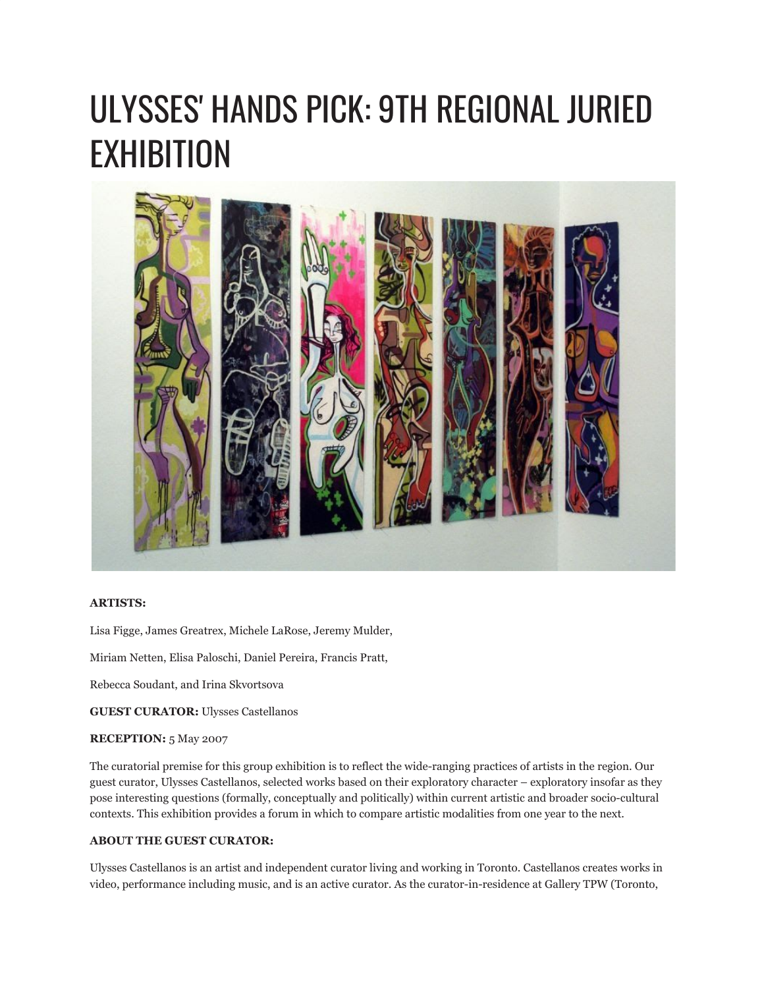# ULYSSES' HANDS PICK: 9TH REGIONAL JURIED EXHIBITION



#### **ARTISTS:**

Lisa Figge, James Greatrex, Michele LaRose, Jeremy Mulder,

Miriam Netten, Elisa Paloschi, Daniel Pereira, Francis Pratt,

Rebecca Soudant, and Irina Skvortsova

**GUEST CURATOR:** Ulysses Castellanos

#### **RECEPTION:** 5 May 2007

The curatorial premise for this group exhibition is to reflect the wide-ranging practices of artists in the region. Our guest curator, Ulysses Castellanos, selected works based on their exploratory character – exploratory insofar as they pose interesting questions (formally, conceptually and politically) within current artistic and broader socio-cultural contexts. This exhibition provides a forum in which to compare artistic modalities from one year to the next.

### **ABOUT THE GUEST CURATOR:**

Ulysses Castellanos is an artist and independent curator living and working in Toronto. Castellanos creates works in video, performance including music, and is an active curator. As the curator-in-residence at Gallery TPW (Toronto,